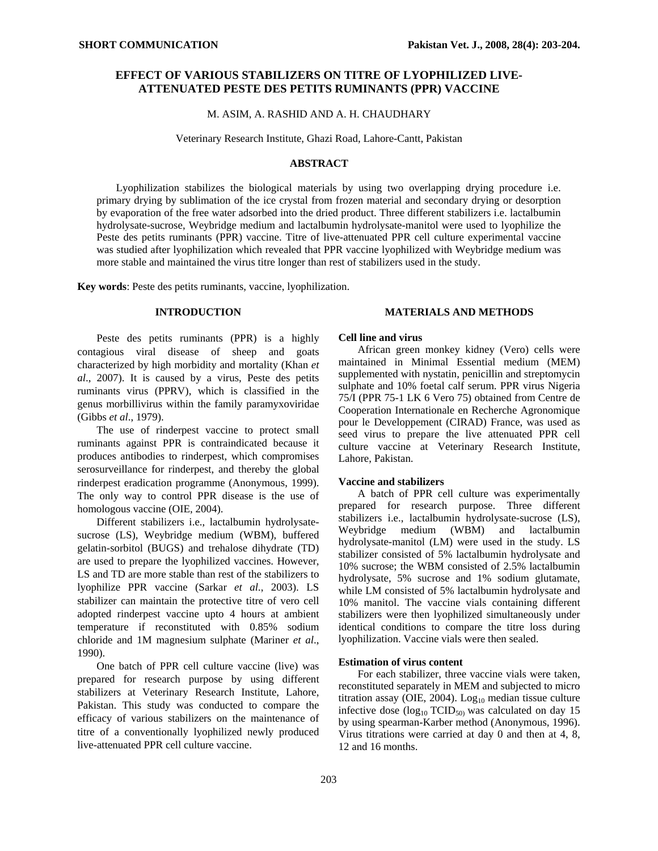# **EFFECT OF VARIOUS STABILIZERS ON TITRE OF LYOPHILIZED LIVE-ATTENUATED PESTE DES PETITS RUMINANTS (PPR) VACCINE**

M. ASIM, A. RASHID AND A. H. CHAUDHARY

Veterinary Research Institute, Ghazi Road, Lahore-Cantt, Pakistan

## **ABSTRACT**

Lyophilization stabilizes the biological materials by using two overlapping drying procedure i.e. primary drying by sublimation of the ice crystal from frozen material and secondary drying or desorption by evaporation of the free water adsorbed into the dried product. Three different stabilizers i.e. lactalbumin hydrolysate-sucrose, Weybridge medium and lactalbumin hydrolysate-manitol were used to lyophilize the Peste des petits ruminants (PPR) vaccine. Titre of live-attenuated PPR cell culture experimental vaccine was studied after lyophilization which revealed that PPR vaccine lyophilized with Weybridge medium was more stable and maintained the virus titre longer than rest of stabilizers used in the study.

**Key words**: Peste des petits ruminants, vaccine, lyophilization.

## **INTRODUCTION**

Peste des petits ruminants (PPR) is a highly contagious viral disease of sheep and goats characterized by high morbidity and mortality (Khan *et al*., 2007). It is caused by a virus, Peste des petits ruminants virus (PPRV), which is classified in the genus morbillivirus within the family paramyxoviridae (Gibbs *et al*., 1979).

The use of rinderpest vaccine to protect small ruminants against PPR is contraindicated because it produces antibodies to rinderpest, which compromises serosurveillance for rinderpest, and thereby the global rinderpest eradication programme (Anonymous, 1999). The only way to control PPR disease is the use of homologous vaccine (OIE, 2004).

Different stabilizers i.e., lactalbumin hydrolysatesucrose (LS), Weybridge medium (WBM), buffered gelatin-sorbitol (BUGS) and trehalose dihydrate (TD) are used to prepare the lyophilized vaccines. However, LS and TD are more stable than rest of the stabilizers to lyophilize PPR vaccine (Sarkar *et al*., 2003). LS stabilizer can maintain the protective titre of vero cell adopted rinderpest vaccine upto 4 hours at ambient temperature if reconstituted with 0.85% sodium chloride and 1M magnesium sulphate (Mariner *et al*., 1990).

One batch of PPR cell culture vaccine (live) was prepared for research purpose by using different stabilizers at Veterinary Research Institute, Lahore, Pakistan. This study was conducted to compare the efficacy of various stabilizers on the maintenance of titre of a conventionally lyophilized newly produced live-attenuated PPR cell culture vaccine.

## **MATERIALS AND METHODS**

#### **Cell line and virus**

African green monkey kidney (Vero) cells were maintained in Minimal Essential medium (MEM) supplemented with nystatin, penicillin and streptomycin sulphate and 10% foetal calf serum. PPR virus Nigeria 75/I (PPR 75-1 LK 6 Vero 75) obtained from Centre de Cooperation Internationale en Recherche Agronomique pour le Developpement (CIRAD) France, was used as seed virus to prepare the live attenuated PPR cell culture vaccine at Veterinary Research Institute, Lahore, Pakistan.

#### **Vaccine and stabilizers**

A batch of PPR cell culture was experimentally prepared for research purpose. Three different stabilizers i.e., lactalbumin hydrolysate-sucrose (LS), Weybridge medium (WBM) and lactalbumin hydrolysate-manitol (LM) were used in the study. LS stabilizer consisted of 5% lactalbumin hydrolysate and 10% sucrose; the WBM consisted of 2.5% lactalbumin hydrolysate, 5% sucrose and 1% sodium glutamate, while LM consisted of 5% lactalbumin hydrolysate and 10% manitol. The vaccine vials containing different stabilizers were then lyophilized simultaneously under identical conditions to compare the titre loss during lyophilization. Vaccine vials were then sealed.

## **Estimation of virus content**

For each stabilizer, three vaccine vials were taken, reconstituted separately in MEM and subjected to micro titration assay (OIE, 2004).  $Log<sub>10</sub>$  median tissue culture infective dose  $(log_{10} TCID_{50}$  was calculated on day 15 by using spearman-Karber method (Anonymous, 1996). Virus titrations were carried at day 0 and then at 4, 8, 12 and 16 months.